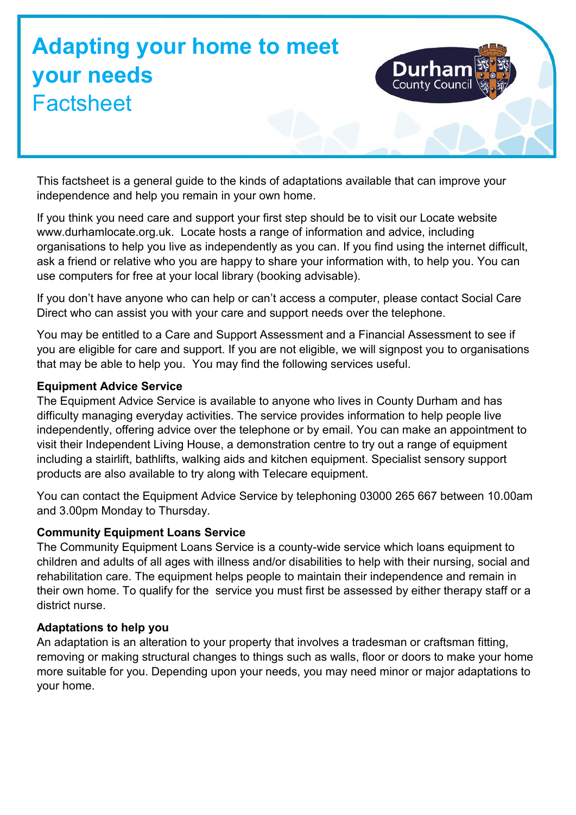# **Adapting your home to meet your needs Factsheet**

This factsheet is a general guide to the kinds of adaptations available that can improve your independence and help you remain in your own home.

If you think you need care and support your first step should be to visit our Locate website www.durhamlocate.org.uk. Locate hosts a range of information and advice, including organisations to help you live as independently as you can. If you find using the internet difficult, ask a friend or relative who you are happy to share your information with, to help you. You can use computers for free at your local library (booking advisable).

If you don't have anyone who can help or can't access a computer, please contact Social Care Direct who can assist you with your care and support needs over the telephone.

You may be entitled to a Care and Support Assessment and a Financial Assessment to see if you are eligible for care and support. If you are not eligible, we will signpost you to organisations that may be able to help you. You may find the following services useful.

#### **Equipment Advice Service**

The Equipment Advice Service is available to anyone who lives in County Durham and has difficulty managing everyday activities. The service provides information to help people live independently, offering advice over the telephone or by email. You can make an appointment to visit their Independent Living House, a demonstration centre to try out a range of equipment including a stairlift, bathlifts, walking aids and kitchen equipment. Specialist sensory support products are also available to try along with Telecare equipment.

You can contact the Equipment Advice Service by telephoning 03000 265 667 between 10.00am and 3.00pm Monday to Thursday.

# **Community Equipment Loans Service**

The Community Equipment Loans Service is a county-wide service which loans equipment to children and adults of all ages with illness and/or disabilities to help with their nursing, social and rehabilitation care. The equipment helps people to maintain their independence and remain in their own home. To qualify for the service you must first be assessed by either therapy staff or a district nurse.

# **Adaptations to help you**

An adaptation is an alteration to your property that involves a tradesman or craftsman fitting, removing or making structural changes to things such as walls, floor or doors to make your home more suitable for you. Depending upon your needs, you may need minor or major adaptations to your home.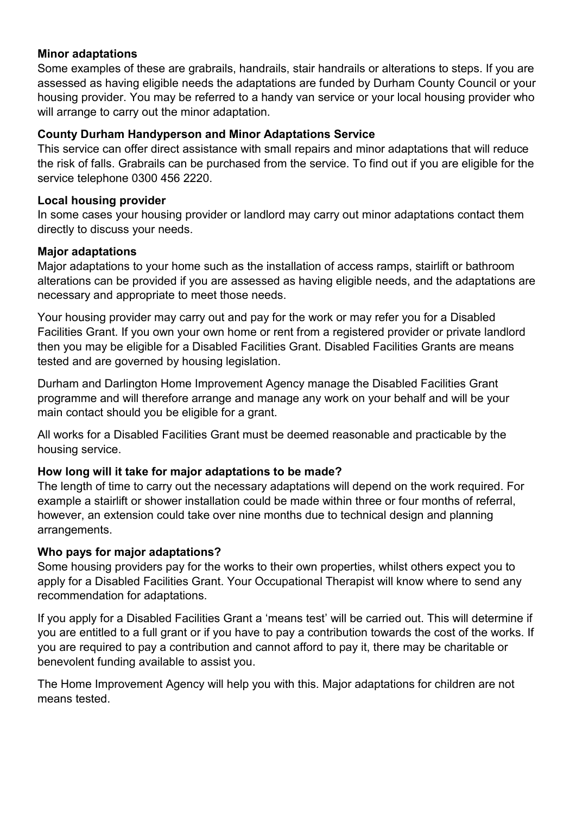#### **Minor adaptations**

Some examples of these are grabrails, handrails, stair handrails or alterations to steps. If you are assessed as having eligible needs the adaptations are funded by Durham County Council or your housing provider. You may be referred to a handy van service or your local housing provider who will arrange to carry out the minor adaptation.

#### **County Durham Handyperson and Minor Adaptations Service**

This service can offer direct assistance with small repairs and minor adaptations that will reduce the risk of falls. Grabrails can be purchased from the service. To find out if you are eligible for the service telephone 0300 456 2220.

#### **Local housing provider**

In some cases your housing provider or landlord may carry out minor adaptations contact them directly to discuss your needs.

#### **Major adaptations**

Major adaptations to your home such as the installation of access ramps, stairlift or bathroom alterations can be provided if you are assessed as having eligible needs, and the adaptations are necessary and appropriate to meet those needs.

Your housing provider may carry out and pay for the work or may refer you for a Disabled Facilities Grant. If you own your own home or rent from a registered provider or private landlord then you may be eligible for a Disabled Facilities Grant. Disabled Facilities Grants are means tested and are governed by housing legislation.

Durham and Darlington Home Improvement Agency manage the Disabled Facilities Grant programme and will therefore arrange and manage any work on your behalf and will be your main contact should you be eligible for a grant.

All works for a Disabled Facilities Grant must be deemed reasonable and practicable by the housing service.

#### **How long will it take for major adaptations to be made?**

The length of time to carry out the necessary adaptations will depend on the work required. For example a stairlift or shower installation could be made within three or four months of referral, however, an extension could take over nine months due to technical design and planning arrangements.

#### **Who pays for major adaptations?**

Some housing providers pay for the works to their own properties, whilst others expect you to apply for a Disabled Facilities Grant. Your Occupational Therapist will know where to send any recommendation for adaptations.

If you apply for a Disabled Facilities Grant a 'means test' will be carried out. This will determine if you are entitled to a full grant or if you have to pay a contribution towards the cost of the works. If you are required to pay a contribution and cannot afford to pay it, there may be charitable or benevolent funding available to assist you.

The Home Improvement Agency will help you with this. Major adaptations for children are not means tested.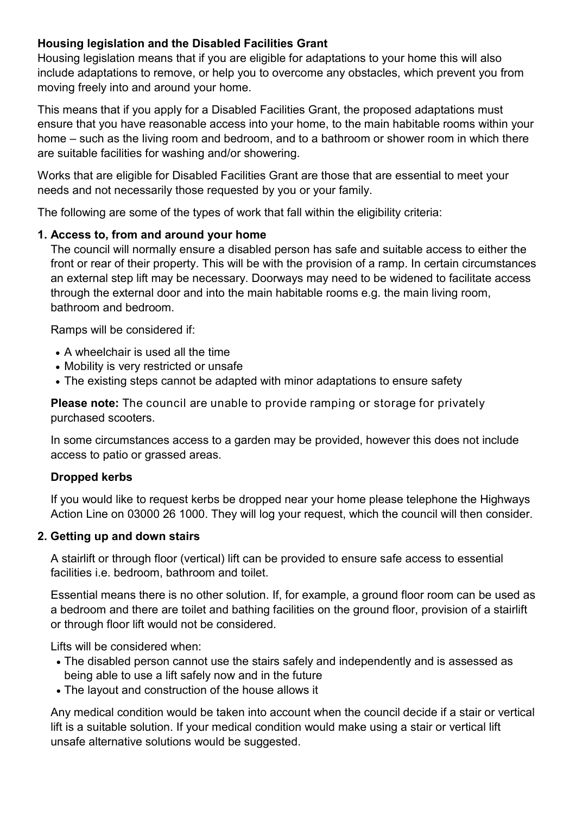# **Housing legislation and the Disabled Facilities Grant**

Housing legislation means that if you are eligible for adaptations to your home this will also include adaptations to remove, or help you to overcome any obstacles, which prevent you from moving freely into and around your home.

This means that if you apply for a Disabled Facilities Grant, the proposed adaptations must ensure that you have reasonable access into your home, to the main habitable rooms within your home – such as the living room and bedroom, and to a bathroom or shower room in which there are suitable facilities for washing and/or showering.

Works that are eligible for Disabled Facilities Grant are those that are essential to meet your needs and not necessarily those requested by you or your family.

The following are some of the types of work that fall within the eligibility criteria:

# **1. Access to, from and around your home**

The council will normally ensure a disabled person has safe and suitable access to either the front or rear of their property. This will be with the provision of a ramp. In certain circumstances an external step lift may be necessary. Doorways may need to be widened to facilitate access through the external door and into the main habitable rooms e.g. the main living room, bathroom and bedroom.

Ramps will be considered if:

- A wheelchair is used all the time
- Mobility is very restricted or unsafe
- The existing steps cannot be adapted with minor adaptations to ensure safety

**Please note:** The council are unable to provide ramping or storage for privately purchased scooters.

In some circumstances access to a garden may be provided, however this does not include access to patio or grassed areas.

# **Dropped kerbs**

If you would like to request kerbs be dropped near your home please telephone the Highways Action Line on 03000 26 1000. They will log your request, which the council will then consider.

# **2. Getting up and down stairs**

A stairlift or through floor (vertical) lift can be provided to ensure safe access to essential facilities i.e. bedroom, bathroom and toilet.

Essential means there is no other solution. If, for example, a ground floor room can be used as a bedroom and there are toilet and bathing facilities on the ground floor, provision of a stairlift or through floor lift would not be considered.

Lifts will be considered when:

- The disabled person cannot use the stairs safely and independently and is assessed as being able to use a lift safely now and in the future
- The layout and construction of the house allows it

Any medical condition would be taken into account when the council decide if a stair or vertical lift is a suitable solution. If your medical condition would make using a stair or vertical lift unsafe alternative solutions would be suggested.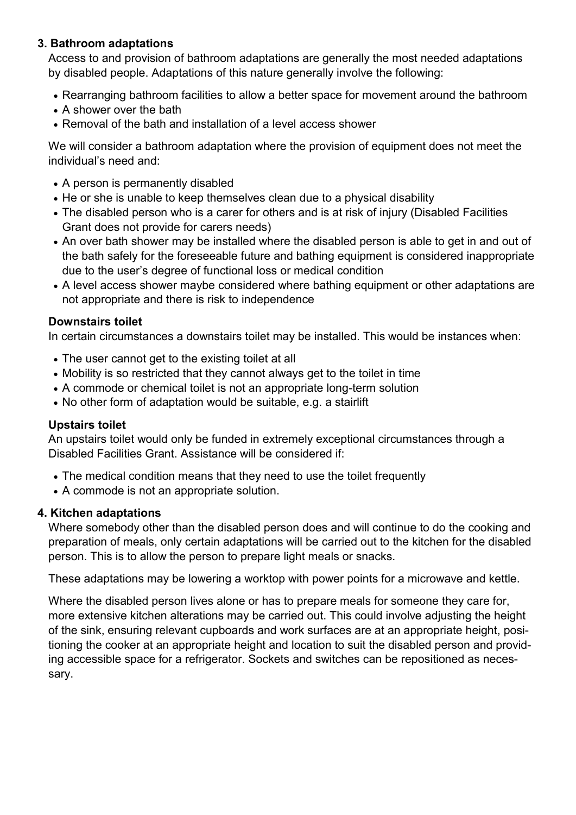# **3. Bathroom adaptations**

Access to and provision of bathroom adaptations are generally the most needed adaptations by disabled people. Adaptations of this nature generally involve the following:

- Rearranging bathroom facilities to allow a better space for movement around the bathroom
- A shower over the bath
- Removal of the bath and installation of a level access shower

We will consider a bathroom adaptation where the provision of equipment does not meet the individual's need and:

- A person is permanently disabled
- He or she is unable to keep themselves clean due to a physical disability
- The disabled person who is a carer for others and is at risk of injury (Disabled Facilities Grant does not provide for carers needs)
- An over bath shower may be installed where the disabled person is able to get in and out of the bath safely for the foreseeable future and bathing equipment is considered inappropriate due to the user's degree of functional loss or medical condition
- A level access shower maybe considered where bathing equipment or other adaptations are not appropriate and there is risk to independence

# **Downstairs toilet**

In certain circumstances a downstairs toilet may be installed. This would be instances when:

- The user cannot get to the existing toilet at all
- Mobility is so restricted that they cannot always get to the toilet in time
- A commode or chemical toilet is not an appropriate long-term solution
- No other form of adaptation would be suitable, e.g. a stairlift

# **Upstairs toilet**

An upstairs toilet would only be funded in extremely exceptional circumstances through a Disabled Facilities Grant. Assistance will be considered if:

- The medical condition means that they need to use the toilet frequently
- A commode is not an appropriate solution.

# **4. Kitchen adaptations**

Where somebody other than the disabled person does and will continue to do the cooking and preparation of meals, only certain adaptations will be carried out to the kitchen for the disabled person. This is to allow the person to prepare light meals or snacks.

These adaptations may be lowering a worktop with power points for a microwave and kettle.

Where the disabled person lives alone or has to prepare meals for someone they care for, more extensive kitchen alterations may be carried out. This could involve adjusting the height of the sink, ensuring relevant cupboards and work surfaces are at an appropriate height, positioning the cooker at an appropriate height and location to suit the disabled person and providing accessible space for a refrigerator. Sockets and switches can be repositioned as necessary.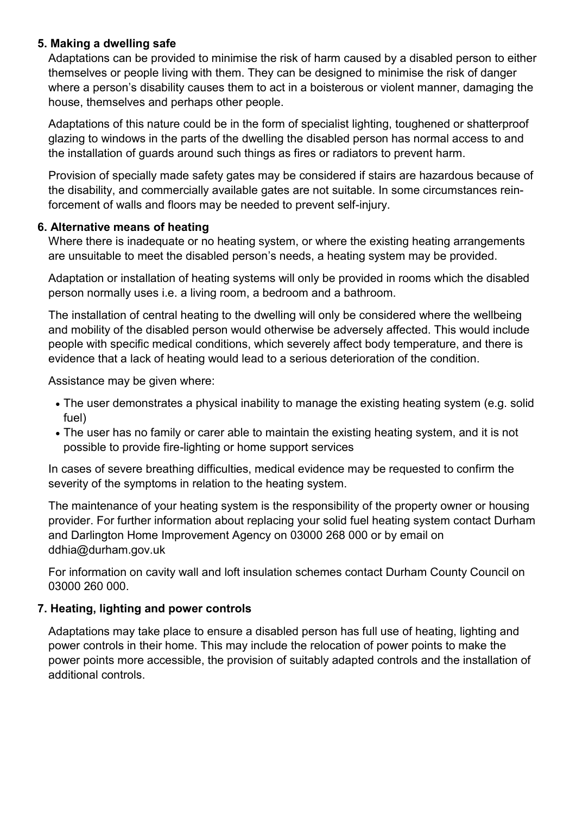# **5. Making a dwelling safe**

Adaptations can be provided to minimise the risk of harm caused by a disabled person to either themselves or people living with them. They can be designed to minimise the risk of danger where a person's disability causes them to act in a boisterous or violent manner, damaging the house, themselves and perhaps other people.

Adaptations of this nature could be in the form of specialist lighting, toughened or shatterproof glazing to windows in the parts of the dwelling the disabled person has normal access to and the installation of guards around such things as fires or radiators to prevent harm.

Provision of specially made safety gates may be considered if stairs are hazardous because of the disability, and commercially available gates are not suitable. In some circumstances reinforcement of walls and floors may be needed to prevent self-injury.

#### **6. Alternative means of heating**

Where there is inadequate or no heating system, or where the existing heating arrangements are unsuitable to meet the disabled person's needs, a heating system may be provided.

Adaptation or installation of heating systems will only be provided in rooms which the disabled person normally uses i.e. a living room, a bedroom and a bathroom.

The installation of central heating to the dwelling will only be considered where the wellbeing and mobility of the disabled person would otherwise be adversely affected. This would include people with specific medical conditions, which severely affect body temperature, and there is evidence that a lack of heating would lead to a serious deterioration of the condition.

Assistance may be given where:

- The user demonstrates a physical inability to manage the existing heating system (e.g. solid fuel)
- The user has no family or carer able to maintain the existing heating system, and it is not possible to provide fire-lighting or home support services

In cases of severe breathing difficulties, medical evidence may be requested to confirm the severity of the symptoms in relation to the heating system.

The maintenance of your heating system is the responsibility of the property owner or housing provider. For further information about replacing your solid fuel heating system contact Durham and Darlington Home Improvement Agency on 03000 268 000 or by email on [ddhia@durham.gov.uk](mailto:ddhia@durham.gov.uk)

For information on cavity wall and loft insulation schemes contact Durham County Council on 03000 260 000.

# **7. Heating, lighting and power controls**

Adaptations may take place to ensure a disabled person has full use of heating, lighting and power controls in their home. This may include the relocation of power points to make the power points more accessible, the provision of suitably adapted controls and the installation of additional controls.